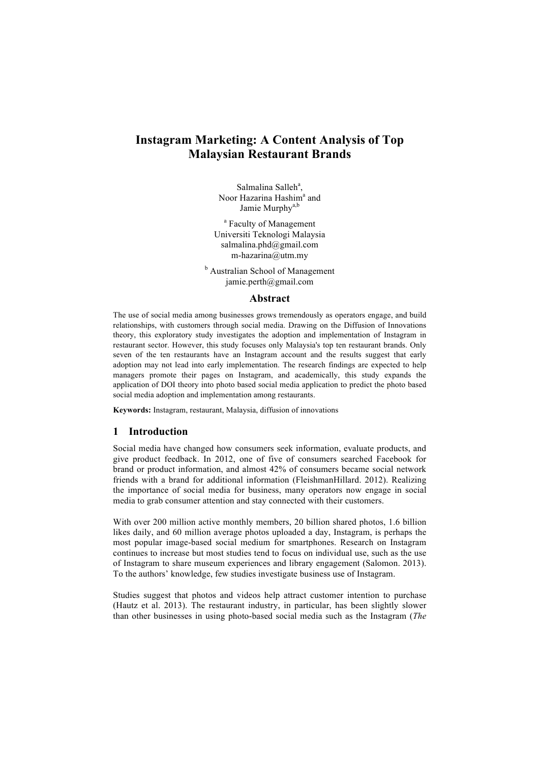# **Instagram Marketing: A Content Analysis of Top Malaysian Restaurant Brands**

Salmalina Salleh<sup>a</sup>, Noor Hazarina Hashim<sup>a</sup> and Jamie Murphy<sup>a,b</sup>

<sup>a</sup> Faculty of Management Universiti Teknologi Malaysia salmalina.phd@gmail.com m-hazarina@utm.my

**b** Australian School of Management jamie.perth@gmail.com

#### **Abstract**

The use of social media among businesses grows tremendously as operators engage, and build relationships, with customers through social media. Drawing on the Diffusion of Innovations theory, this exploratory study investigates the adoption and implementation of Instagram in restaurant sector. However, this study focuses only Malaysia's top ten restaurant brands. Only seven of the ten restaurants have an Instagram account and the results suggest that early adoption may not lead into early implementation. The research findings are expected to help managers promote their pages on Instagram, and academically, this study expands the application of DOI theory into photo based social media application to predict the photo based social media adoption and implementation among restaurants.

**Keywords:** Instagram, restaurant, Malaysia, diffusion of innovations

#### **1 Introduction**

Social media have changed how consumers seek information, evaluate products, and give product feedback. In 2012, one of five of consumers searched Facebook for brand or product information, and almost 42% of consumers became social network friends with a brand for additional information (FleishmanHillard. 2012). Realizing the importance of social media for business, many operators now engage in social media to grab consumer attention and stay connected with their customers.

With over 200 million active monthly members, 20 billion shared photos, 1.6 billion likes daily, and 60 million average photos uploaded a day, Instagram, is perhaps the most popular image-based social medium for smartphones. Research on Instagram continues to increase but most studies tend to focus on individual use, such as the use of Instagram to share museum experiences and library engagement (Salomon. 2013). To the authors' knowledge, few studies investigate business use of Instagram.

Studies suggest that photos and videos help attract customer intention to purchase (Hautz et al. 2013). The restaurant industry, in particular, has been slightly slower than other businesses in using photo-based social media such as the Instagram (*The*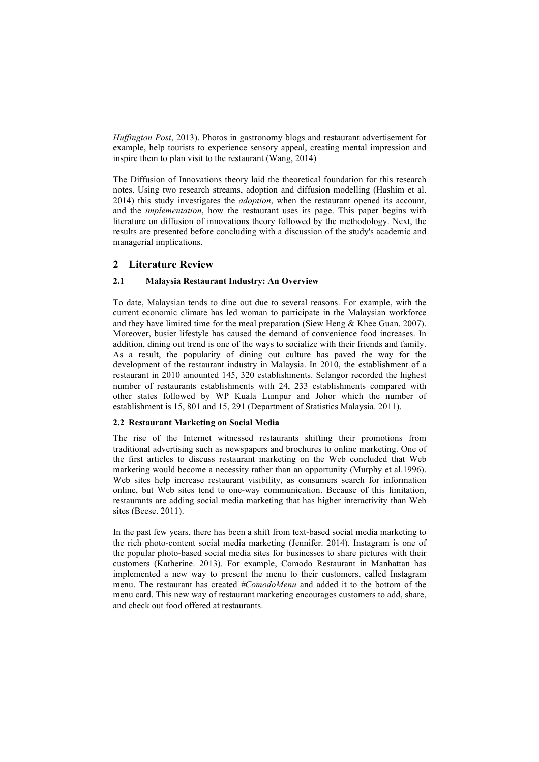*Huffington Post*, 2013). Photos in gastronomy blogs and restaurant advertisement for example, help tourists to experience sensory appeal, creating mental impression and inspire them to plan visit to the restaurant (Wang, 2014)

The Diffusion of Innovations theory laid the theoretical foundation for this research notes. Using two research streams, adoption and diffusion modelling (Hashim et al. 2014) this study investigates the *adoption*, when the restaurant opened its account, and the *implementation*, how the restaurant uses its page. This paper begins with literature on diffusion of innovations theory followed by the methodology. Next, the results are presented before concluding with a discussion of the study's academic and managerial implications.

### **2 Literature Review**

#### **2.1 Malaysia Restaurant Industry: An Overview**

To date, Malaysian tends to dine out due to several reasons. For example, with the current economic climate has led woman to participate in the Malaysian workforce and they have limited time for the meal preparation (Siew Heng & Khee Guan. 2007). Moreover, busier lifestyle has caused the demand of convenience food increases. In addition, dining out trend is one of the ways to socialize with their friends and family. As a result, the popularity of dining out culture has paved the way for the development of the restaurant industry in Malaysia. In 2010, the establishment of a restaurant in 2010 amounted 145, 320 establishments. Selangor recorded the highest number of restaurants establishments with 24, 233 establishments compared with other states followed by WP Kuala Lumpur and Johor which the number of establishment is 15, 801 and 15, 291 (Department of Statistics Malaysia. 2011).

#### **2.2 Restaurant Marketing on Social Media**

The rise of the Internet witnessed restaurants shifting their promotions from traditional advertising such as newspapers and brochures to online marketing. One of the first articles to discuss restaurant marketing on the Web concluded that Web marketing would become a necessity rather than an opportunity (Murphy et al.1996). Web sites help increase restaurant visibility, as consumers search for information online, but Web sites tend to one-way communication. Because of this limitation, restaurants are adding social media marketing that has higher interactivity than Web sites (Beese. 2011).

In the past few years, there has been a shift from text-based social media marketing to the rich photo-content social media marketing (Jennifer. 2014). Instagram is one of the popular photo-based social media sites for businesses to share pictures with their customers (Katherine. 2013). For example, Comodo Restaurant in Manhattan has implemented a new way to present the menu to their customers, called Instagram menu. The restaurant has created *#ComodoMenu* and added it to the bottom of the menu card. This new way of restaurant marketing encourages customers to add, share, and check out food offered at restaurants.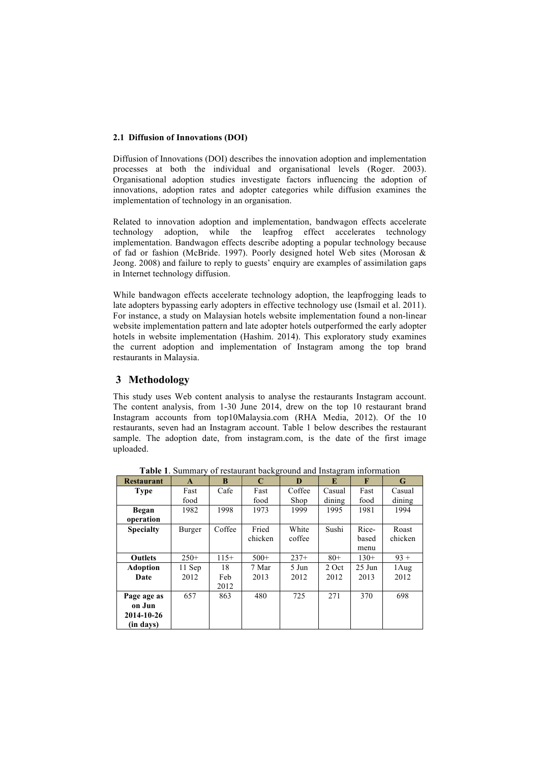#### **2.1 Diffusion of Innovations (DOI)**

Diffusion of Innovations (DOI) describes the innovation adoption and implementation processes at both the individual and organisational levels (Roger. 2003). Organisational adoption studies investigate factors influencing the adoption of innovations, adoption rates and adopter categories while diffusion examines the implementation of technology in an organisation.

Related to innovation adoption and implementation, bandwagon effects accelerate technology adoption, while the leapfrog effect accelerates technology implementation. Bandwagon effects describe adopting a popular technology because of fad or fashion (McBride. 1997). Poorly designed hotel Web sites (Morosan & Jeong. 2008) and failure to reply to guests' enquiry are examples of assimilation gaps in Internet technology diffusion.

While bandwagon effects accelerate technology adoption, the leapfrogging leads to late adopters bypassing early adopters in effective technology use (Ismail et al. 2011). For instance, a study on Malaysian hotels website implementation found a non-linear website implementation pattern and late adopter hotels outperformed the early adopter hotels in website implementation (Hashim. 2014). This exploratory study examines the current adoption and implementation of Instagram among the top brand restaurants in Malaysia.

# **3 Methodology**

This study uses Web content analysis to analyse the restaurants Instagram account. The content analysis, from 1-30 June 2014, drew on the top 10 restaurant brand Instagram accounts from top10Malaysia.com (RHA Media, 2012). Of the 10 restaurants, seven had an Instagram account. Table 1 below describes the restaurant sample. The adoption date, from instagram.com, is the date of the first image uploaded.

| <b>Restaurant</b> | A      | B      | $\mathbf C$ | D      | E      | F        | G       |
|-------------------|--------|--------|-------------|--------|--------|----------|---------|
| <b>Type</b>       | Fast   | Cafe   | Fast        | Coffee | Casual | Fast     | Casual  |
|                   | food   |        | food        | Shop   | dining | food     | dining  |
| Began             | 1982   | 1998   | 1973        | 1999   | 1995   | 1981     | 1994    |
| operation         |        |        |             |        |        |          |         |
| <b>Specialty</b>  | Burger | Coffee | Fried       | White  | Sushi  | Rice-    | Roast   |
|                   |        |        | chicken     | coffee |        | based    | chicken |
|                   |        |        |             |        |        | menu     |         |
| <b>Outlets</b>    | $250+$ | $115+$ | $500+$      | $237+$ | $80+$  | $130+$   | $93 +$  |
| <b>Adoption</b>   | 11 Sep | 18     | 7 Mar       | 5 Jun  | 2 Oct  | $25$ Jun | 1 Aug   |
| Date              | 2012   | Feb    | 2013        | 2012   | 2012   | 2013     | 2012    |
|                   |        | 2012   |             |        |        |          |         |
| Page age as       | 657    | 863    | 480         | 725    | 271    | 370      | 698     |
| on Jun            |        |        |             |        |        |          |         |
| 2014-10-26        |        |        |             |        |        |          |         |
| (in days)         |        |        |             |        |        |          |         |

**Table 1**. Summary of restaurant background and Instagram information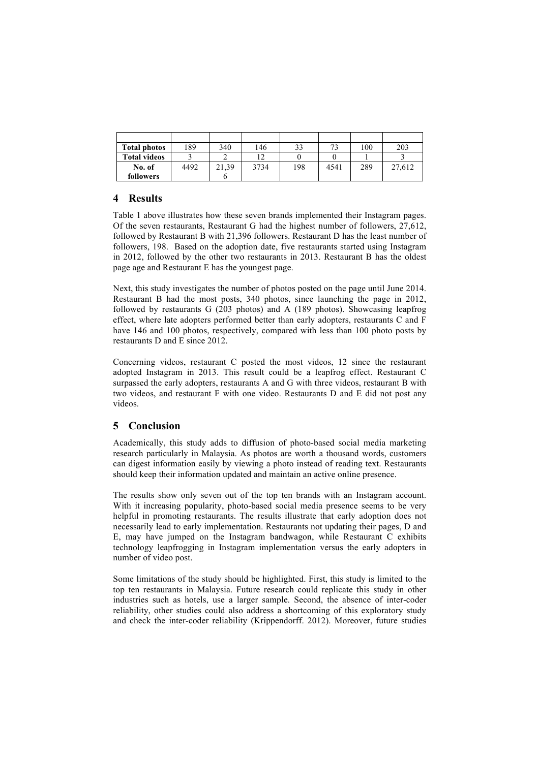| <b>Total photos</b> | 189  | 340   | 146  | 33  | 72   | 100 | 203    |
|---------------------|------|-------|------|-----|------|-----|--------|
| <b>Total videos</b> |      |       |      |     |      |     |        |
| No. of              | 4492 | 21,39 | 3734 | 198 | 4541 | 289 | 27,612 |
| followers           |      |       |      |     |      |     |        |

# **4 Results**

Table 1 above illustrates how these seven brands implemented their Instagram pages. Of the seven restaurants, Restaurant G had the highest number of followers, 27,612, followed by Restaurant B with 21,396 followers. Restaurant D has the least number of followers, 198. Based on the adoption date, five restaurants started using Instagram in 2012, followed by the other two restaurants in 2013. Restaurant B has the oldest page age and Restaurant E has the youngest page.

Next, this study investigates the number of photos posted on the page until June 2014. Restaurant B had the most posts, 340 photos, since launching the page in 2012, followed by restaurants G (203 photos) and A (189 photos). Showcasing leapfrog effect, where late adopters performed better than early adopters, restaurants C and F have 146 and 100 photos, respectively, compared with less than 100 photo posts by restaurants D and E since 2012.

Concerning videos, restaurant C posted the most videos, 12 since the restaurant adopted Instagram in 2013. This result could be a leapfrog effect. Restaurant C surpassed the early adopters, restaurants A and G with three videos, restaurant B with two videos, and restaurant F with one video. Restaurants D and E did not post any videos.

# **5 Conclusion**

Academically, this study adds to diffusion of photo-based social media marketing research particularly in Malaysia. As photos are worth a thousand words, customers can digest information easily by viewing a photo instead of reading text. Restaurants should keep their information updated and maintain an active online presence.

The results show only seven out of the top ten brands with an Instagram account. With it increasing popularity, photo-based social media presence seems to be very helpful in promoting restaurants. The results illustrate that early adoption does not necessarily lead to early implementation. Restaurants not updating their pages, D and E, may have jumped on the Instagram bandwagon, while Restaurant C exhibits technology leapfrogging in Instagram implementation versus the early adopters in number of video post.

Some limitations of the study should be highlighted. First, this study is limited to the top ten restaurants in Malaysia. Future research could replicate this study in other industries such as hotels, use a larger sample. Second, the absence of inter-coder reliability, other studies could also address a shortcoming of this exploratory study and check the inter-coder reliability (Krippendorff. 2012). Moreover, future studies